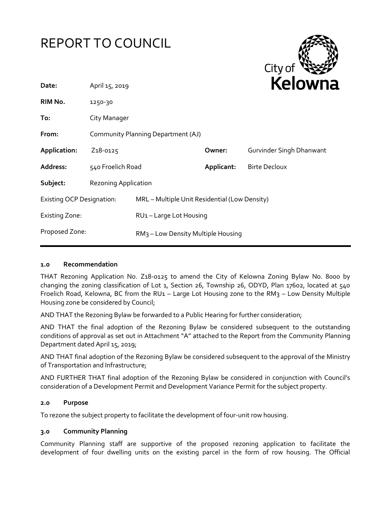



| Date:                            | April 15, 2019                     |                                                | <b>Reiown</b> |                          |
|----------------------------------|------------------------------------|------------------------------------------------|---------------|--------------------------|
| RIM No.                          | 1250-30                            |                                                |               |                          |
| To:                              | City Manager                       |                                                |               |                          |
| From:                            | Community Planning Department (AJ) |                                                |               |                          |
| Application:                     | Z <sub>1</sub> 8-0125              |                                                | Owner:        | Gurvinder Singh Dhanwant |
| Address:                         | 540 Froelich Road                  |                                                | Applicant:    | <b>Birte Decloux</b>     |
| Subject:                         | <b>Rezoning Application</b>        |                                                |               |                          |
| <b>Existing OCP Designation:</b> |                                    | MRL - Multiple Unit Residential (Low Density)  |               |                          |
| <b>Existing Zone:</b>            |                                    | RU1-Large Lot Housing                          |               |                          |
| Proposed Zone:                   |                                    | RM <sub>3</sub> – Low Density Multiple Housing |               |                          |
|                                  |                                    |                                                |               |                          |

#### **1.0 Recommendation**

THAT Rezoning Application No. Z18-0125 to amend the City of Kelowna Zoning Bylaw No. 8000 by changing the zoning classification of Lot 1, Section 26, Township 26, ODYD, Plan 17602, located at 540 Froelich Road, Kelowna, BC from the RU1 – Large Lot Housing zone to the RM3 – Low Density Multiple Housing zone be considered by Council;

AND THAT the Rezoning Bylaw be forwarded to a Public Hearing for further consideration;

AND THAT the final adoption of the Rezoning Bylaw be considered subsequent to the outstanding conditions of approval as set out in Attachment "A" attached to the Report from the Community Planning Department dated April 15, 2019;

AND THAT final adoption of the Rezoning Bylaw be considered subsequent to the approval of the Ministry of Transportation and Infrastructure;

AND FURTHER THAT final adoption of the Rezoning Bylaw be considered in conjunction with Council's consideration of a Development Permit and Development Variance Permit for the subject property.

#### **2.0 Purpose**

To rezone the subject property to facilitate the development of four-unit row housing.

#### **3.0 Community Planning**

Community Planning staff are supportive of the proposed rezoning application to facilitate the development of four dwelling units on the existing parcel in the form of row housing. The Official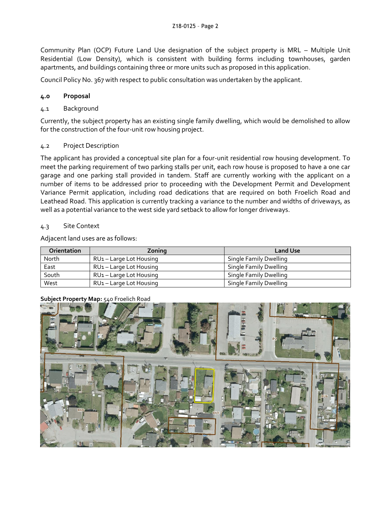Community Plan (OCP) Future Land Use designation of the subject property is MRL – Multiple Unit Residential (Low Density), which is consistent with building forms including townhouses, garden apartments, and buildings containing three or more units such as proposed in this application.

Council Policy No. 367 with respect to public consultation was undertaken by the applicant.

# **4.0 Proposal**

# 4.1 Background

Currently, the subject property has an existing single family dwelling, which would be demolished to allow for the construction of the four-unit row housing project.

## 4.2 Project Description

The applicant has provided a conceptual site plan for a four-unit residential row housing development. To meet the parking requirement of two parking stalls per unit, each row house is proposed to have a one car garage and one parking stall provided in tandem. Staff are currently working with the applicant on a number of items to be addressed prior to proceeding with the Development Permit and Development Variance Permit application, including road dedications that are required on both Froelich Road and Leathead Road. This application is currently tracking a variance to the number and widths of driveways, as well as a potential variance to the west side yard setback to allow for longer driveways.

## 4.3 Site Context

Adjacent land uses are as follows:

| Orientation | Zoning                              | <b>Land Use</b>        |
|-------------|-------------------------------------|------------------------|
| North       | RU <sub>1</sub> – Large Lot Housing | Single Family Dwelling |
| East        | RU <sub>1</sub> – Large Lot Housing | Single Family Dwelling |
| South       | RU <sub>1</sub> – Large Lot Housing | Single Family Dwelling |
| West        | RU <sub>1</sub> – Large Lot Housing | Single Family Dwelling |

## **Subject Property Map:** 540 Froelich Road